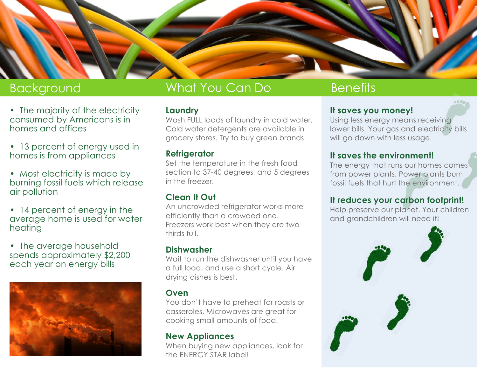

- The majority of the electricity consumed by Americans is in homes and offices
- 13 percent of energy used in homes is from appliances
- Most electricity is made by burning fossil fuels which release air pollution
- 14 percent of energy in the average home is used for water heating
- The average household spends approximately \$2,200 each year on energy bills



# Background What You Can Do Benefits

### **Laundry**

Wash FULL loads of laundry in cold water. Cold water detergents are available in grocery stores. Try to buy green brands.

### **Refrigerator**

Set the temperature in the fresh food section to 37-40 degrees, and 5 degrees in the freezer.

# **Clean It Out**

An uncrowded refrigerator works more efficiently than a crowded one. Freezers work best when they are two thirds full.

### **Dishwasher**

Wait to run the dishwasher until you have a full load, and use a short cycle. Air drying dishes is best.

## **Oven**

You don't have to preheat for roasts or casseroles. Microwaves are great for cooking small amounts of food.

### **New Appliances**

When buying new appliances, look for the ENERGY STAR label!

## **It saves you money!**

Using less energy means receiving lower bills. Your gas and electricity bills will go down with less usage.

### **It saves the environment!**

The energy that runs our homes comes from power plants. Power plants burn fossil fuels that hurt the environment.

# **It reduces your carbon footprint!**

Help preserve our planet. Your children and grandchildren will need it!